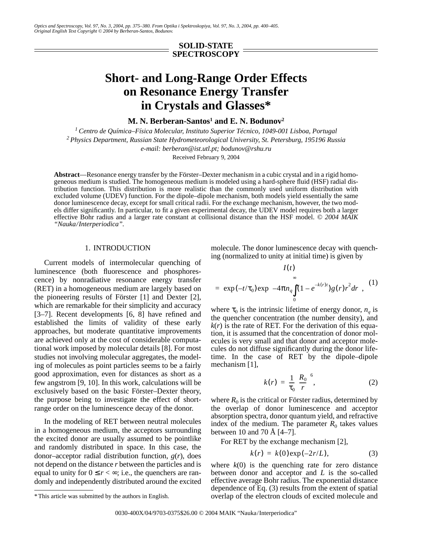*Optics and Spectroscopy, Vol. 97, No. 3, 2004, pp. 375–380. From Optika i Spektroskopiya, Vol. 97, No. 3, 2004, pp. 400–405. Original English Text Copyright © 2004 by Berberan-Santos, Bodunov.*

## **SOLID-STATE SPECTROSCOPY**

# **Short- and Long-Range Order Effects on Resonance Energy Transfer in Crystals and Glasses\***

**M. N. Berberan-Santos1 and E. N. Bodunov2**

*1 Centro de Química–Física Molecular, Instituto Superior Técnico, 1049-001 Lisboa, Portugal 2 Physics Department, Russian State Hydrometeorological University, St. Petersburg, 195196 Russia e-mail: berberan@ist.utl.pt; bodunov@rshu.ru*

Received February 9, 2004

**Abstract**—Resonance energy transfer by the Förster–Dexter mechanism in a cubic crystal and in a rigid homogeneous medium is studied. The homogeneous medium is modeled using a hard-sphere fluid (HSF) radial distribution function. This distribution is more realistic than the commonly used uniform distribution with excluded volume (UDEV) function. For the dipole–dipole mechanism, both models yield essentially the same donor luminescence decay, except for small critical radii. For the exchange mechanism, however, the two models differ significantly. In particular, to fit a given experimental decay, the UDEV model requires both a larger effective Bohr radius and a larger rate constant at collisional distance than the HSF model. *© 2004 MAIK "Nauka/Interperiodica".*

## 1. INTRODUCTION

Current models of intermolecular quenching of luminescence (both fluorescence and phosphorescence) by nonradiative resonance energy transfer (RET) in a homogeneous medium are largely based on the pioneering results of Förster [1] and Dexter [2], which are remarkable for their simplicity and accuracy [3–7]. Recent developments [6, 8] have refined and established the limits of validity of these early approaches, but moderate quantitative improvements are achieved only at the cost of considerable computational work imposed by molecular details [8]. For most studies not involving molecular aggregates, the modeling of molecules as point particles seems to be a fairly good approximation, even for distances as short as a few angstrom [9, 10]. In this work, calculations will be exclusively based on the basic Förster–Dexter theory, the purpose being to investigate the effect of shortrange order on the luminescence decay of the donor.

In the modeling of RET between neutral molecules in a homogeneous medium, the acceptors surrounding the excited donor are usually assumed to be pointlike and randomly distributed in space. In this case, the donor–acceptor radial distribution function, *g*(*r*), does not depend on the distance *r* between the particles and is equal to unity for  $0 \le r < \infty$ ; i.e., the quenchers are randomly and independently distributed around the excited molecule. The donor luminescence decay with quenching (normalized to unity at initial time) is given by

 $I(f)$ 

$$
= \exp(-t/\tau_0) \exp\left(-4\pi n_q \int_0^{\infty} (1 - e^{-k(r)t}) g(r) r^2 dr\right), \quad (1)
$$

where  $\tau_0$  is the intrinsic lifetime of energy donor,  $n_a$  is the quencher concentration (the number density), and  $k(r)$  is the rate of RET. For the derivation of this equation, it is assumed that the concentration of donor molecules is very small and that donor and acceptor molecules do not diffuse significantly during the donor lifetime. In the case of RET by the dipole–dipole mechanism [1],

$$
k(r) = \frac{1}{\tau_0} \left(\frac{R_0}{r}\right)^6, \tag{2}
$$

where  $R_0$  is the critical or Förster radius, determined by the overlap of donor luminescence and acceptor absorption spectra, donor quantum yield, and refractive index of the medium. The parameter  $R_0$  takes values between 10 and 70 Å [4–7].

For RET by the exchange mechanism [2],

$$
k(r) = k(0) \exp(-2r/L), \tag{3}
$$

where  $k(0)$  is the quenching rate for zero distance between donor and acceptor and *L* is the so-called effective average Bohr radius. The exponential distance dependence of Eq. (3) results from the extent of spatial overlap of the electron clouds of excited molecule and

<sup>\*</sup> This article was submitted by the authors in English.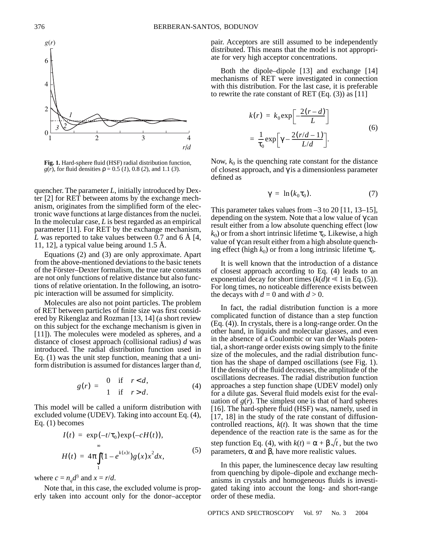

**Fig. 1.** Hard-sphere fluid (HSF) radial distribution function, *g*(*r*), for fluid densities  $\rho = 0.5$  (*1*), 0.8 (*2*), and 1.1 (*3*).

quencher. The parameter *L*, initially introduced by Dexter [2] for RET between atoms by the exchange mechanism, originates from the simplified form of the electronic wave functions at large distances from the nuclei. In the molecular case, *L* is best regarded as an empirical parameter [11]. For RET by the exchange mechanism, *L* was reported to take values between 0.7 and 6 Å [4, 11, 12], a typical value being around 1.5 Å.

Equations (2) and (3) are only approximate. Apart from the above-mentioned deviations to the basic tenets of the Förster–Dexter formalism, the true rate constants are not only functions of relative distance but also functions of relative orientation. In the following, an isotropic interaction will be assumed for simplicity.

Molecules are also not point particles. The problem of RET between particles of finite size was first considered by Rikenglaz and Rozman [13, 14] (a short review on this subject for the exchange mechanism is given in [11]). The molecules were modeled as spheres, and a distance of closest approach (collisional radius) *d* was introduced. The radial distribution function used in Eq. (1) was the unit step function, meaning that a uniform distribution is assumed for distances larger than *d*,

$$
g(r) = \begin{cases} 0 & \text{if } r < d, \\ 1 & \text{if } r > d. \end{cases}
$$
 (4)

This model will be called a uniform distribution with excluded volume (UDEV). Taking into account Eq. (4), Eq. (1) becomes

$$
I(t) = \exp(-t/\tau_0) \exp(-cH(t)),
$$
  

$$
H(t) = 4\pi \int_{1}^{\infty} (1 - e^{k(x)t}) g(x) x^2 dx,
$$
 (5)

where  $c = n_q d^3$  and  $x = r/d$ .

Note that, in this case, the excluded volume is properly taken into account only for the donor–acceptor pair. Acceptors are still assumed to be independently distributed. This means that the model is not appropriate for very high acceptor concentrations.

Both the dipole–dipole [13] and exchange [14] mechanisms of RET were investigated in connection with this distribution. For the last case, it is preferable to rewrite the rate constant of RET  $(Eq. (3))$  as [11]

$$
k(r) = k_0 \exp\left[-\frac{2(r-d)}{L}\right]
$$
  
=  $\frac{1}{\tau_0} \exp\left[\gamma - \frac{2(r/d-1)}{L/d}\right].$  (6)

Now,  $k_0$  is the quenching rate constant for the distance of closest approach, and γ is a dimensionless parameter defined as

$$
\gamma = \ln(k_0 \tau_0). \tag{7}
$$

This parameter takes values from  $-3$  to 20 [11, 13–15], depending on the system. Note that a low value of  $\gamma$  can result either from a low absolute quenching effect (low  $k_0$ ) or from a short intrinsic lifetime  $\tau_0$ . Likewise, a high value of γ can result either from a high absolute quenching effect (high  $k_0$ ) or from a long intrinsic lifetime  $\tau_0$ .

It is well known that the introduction of a distance of closest approach according to Eq. (4) leads to an exponential decay for short times  $(k(d)t \le 1$  in Eq. (5)). For long times, no noticeable difference exists between the decays with  $d = 0$  and with  $d > 0$ .

In fact, the radial distribution function is a more complicated function of distance than a step function (Eq. (4)). In crystals, there is a long-range order. On the other hand, in liquids and molecular glasses, and even in the absence of a Coulombic or van der Waals potential, a short-range order exists owing simply to the finite size of the molecules, and the radial distribution function has the shape of damped oscillations (see Fig. 1). If the density of the fluid decreases, the amplitude of the oscillations decreases. The radial distribution function approaches a step function shape (UDEV model) only for a dilute gas. Several fluid models exist for the evaluation of  $g(r)$ . The simplest one is that of hard spheres [16]. The hard-sphere fluid (HSF) was, namely, used in [17, 18] in the study of the rate constant of diffusioncontrolled reactions, *k*(*t*). It was shown that the time dependence of the reaction rate is the same as for the step function Eq. (4), with  $k(t) = \alpha + \beta \sqrt{t}$ , but the two parameters, α and β, have more realistic values.

In this paper, the luminescence decay law resulting from quenching by dipole–dipole and exchange mechanisms in crystals and homogeneous fluids is investigated taking into account the long- and short-range order of these media.

376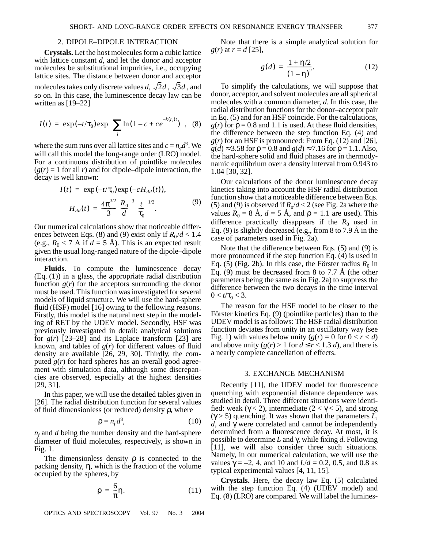#### 2. DIPOLE–DIPOLE INTERACTION

**Crystals.** Let the host molecules form a cubic lattice with lattice constant *d*, and let the donor and acceptor molecules be substitutional impurities, i.e., occupying lattice sites. The distance between donor and acceptor molecules takes only discrete values d,  $\sqrt{2}d$  ,  $\sqrt{3}d$  , and so on. In this case, the luminescence decay law can be written as [19–22]

$$
I(t) = \exp(-t/\tau_0) \exp\left\{\sum_i \ln(1 - c + ce^{-k(r_i)t})\right\}, \quad (8)
$$

where the sum runs over all lattice sites and  $c = n_q d^3$ . We will call this model the long-range order (LRO) model. For a continuous distribution of pointlike molecules  $(g(r) = 1$  for all *r*) and for dipole–dipole interaction, the decay is well known:

$$
I(t) = \exp(-t/\tau_0) \exp(-cH_{dd}(t)),
$$
  
\n
$$
H_{dd}(t) = \frac{4\pi^{3/2}}{3} \left(\frac{R_0}{d}\right)^3 \left(\frac{t}{\tau_0}\right)^{1/2}.
$$
 (9)

Our numerical calculations show that noticeable differences between Eqs. (8) and (9) exist only if  $R_0 / d < 1.4$ (e.g.,  $R_0 < 7$  Å if  $d = 5$  Å). This is an expected result given the usual long-ranged nature of the dipole–dipole interaction.

**Fluids.** To compute the luminescence decay (Eq. (1)) in a glass, the appropriate radial distribution function  $g(r)$  for the acceptors surrounding the donor must be used. This function was investigated for several models of liquid structure. We will use the hard-sphere fluid (HSF) model [16] owing to the following reasons. Firstly, this model is the natural next step in the modeling of RET by the UDEV model. Secondly, HSF was previously investigated in detail: analytical solutions for  $g(r)$  [23–28] and its Laplace transform [23] are known, and tables of  $g(r)$  for different values of fluid density are available [26, 29, 30]. Thirdly, the computed  $g(r)$  for hard spheres has an overall good agreement with simulation data, although some discrepancies are observed, especially at the highest densities [29, 31].

In this paper, we will use the detailed tables given in [26]. The radial distribution function for several values of fluid dimensionless (or reduced) density ρ, where

$$
\rho = n_f d^3,\tag{10}
$$

*nf* and *d* being the number density and the hard-sphere diameter of fluid molecules, respectively, is shown in Fig. 1.

The dimensionless density  $\rho$  is connected to the packing density, η, which is the fraction of the volume occupied by the spheres, by

$$
\rho = \frac{6}{\pi} \eta. \tag{11}
$$

OPTICS AND SPECTROSCOPY Vol. 97 No. 3 2004

Note that there is a simple analytical solution for *g*(*r*) at *r* = *d* [25],

$$
g(d) = \frac{1 + \eta/2}{(1 - \eta)^2}.
$$
 (12)

To simplify the calculations, we will suppose that donor, acceptor, and solvent molecules are all spherical molecules with a common diameter, *d*. In this case, the radial distribution functions for the donor–acceptor pair in Eq. (5) and for an HSF coincide. For the calculations,  $g(r)$  for  $\rho = 0.8$  and 1.1 is used. At these fluid densities, the difference between the step function Eq. (4) and  $g(r)$  for an HSF is pronounced: From Eq. (12) and [26],  $g(d) \approx 3.58$  for  $\rho = 0.8$  and  $g(d) \approx 7.16$  for  $\rho = 1.1$ . Also, the hard-sphere solid and fluid phases are in thermodynamic equilibrium over a density interval from 0.943 to 1.04 [30, 32].

Our calculations of the donor luminescence decay kinetics taking into account the HSF radial distribution function show that a noticeable difference between Eqs. (5) and (9) is observed if  $R_0/d < 2$  (see Fig. 2a where the values  $R_0 = 8$  Å,  $d = 5$  Å, and  $\rho = 1.1$  are used). This difference practically disappears if the  $R_0$  used in Eq. (9) is slightly decreased (e.g., from 8 to 7.9 Å in the case of parameters used in Fig. 2a).

Note that the difference between Eqs. (5) and (9) is more pronounced if the step function Eq. (4) is used in Eq. (5) (Fig. 2b). In this case, the Förster radius  $R_0$  in Eq. (9) must be decreased from 8 to 7.7 Å (the other parameters being the same as in Fig. 2a) to suppress the difference between the two decays in the time interval  $0 < t/\tau_0 < 3$ .

The reason for the HSF model to be closer to the Förster kinetics Eq. (9) (pointlike particles) than to the UDEV model is as follows: The HSF radial distribution function deviates from unity in an oscillatory way (see Fig. 1) with values below unity  $(g(r) = 0$  for  $0 < r < d$ ) and above unity  $(g(r) > 1$  for  $d \le r < 1.3 d$ , and there is a nearly complete cancellation of effects.

## 3. EXCHANGE MECHANISM

Recently [11], the UDEV model for fluorescence quenching with exponential distance dependence was studied in detail. Three different situations were identified: weak ( $\gamma$  < 2), intermediate (2 <  $\gamma$  < 5), and strong ( $\gamma$  > 5) quenching. It was shown that the parameters *L*, *d*, and γ were correlated and cannot be independently determined from a fluorescence decay. At most, it is possible to determine *L* and γ, while fixing *d*. Following [11], we will also consider three such situations. Namely, in our numerical calculation, we will use the values  $\gamma = -2$ , 4, and 10 and *L*/*d* = 0.2, 0.5, and 0.8 as typical experimental values [4, 11, 15].

**Crystals.** Here, the decay law Eq. (5) calculated with the step function Eq. (4) (UDEV model) and Eq. (8) (LRO) are compared. We will label the lumines-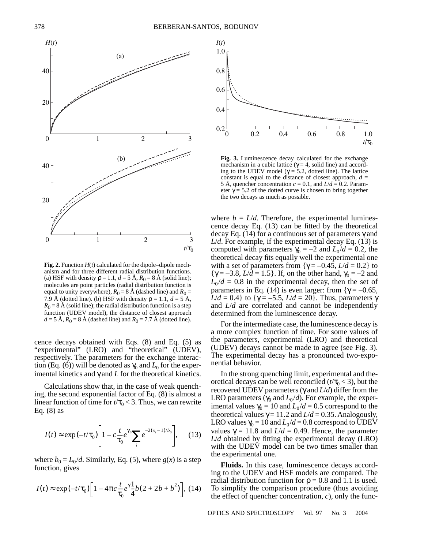

**Fig. 2.** Function *H*(*t*) calculated for the dipole–dipole mechanism and for three different radial distribution functions. (a) HSF with density  $\rho = 1.1$ ,  $d = 5$  Å,  $R_0 = 8$  Å (solid line); molecules are point particles (radial distribution function is equal to unity everywhere),  $R_0 = 8$  Å (dashed line) and  $R_0 =$ 7.9 Å (dotted line). (b) HSF with density  $\rho = 1.1$ ,  $d = 5$  Å,  $R_0 = 8$  Å (solid line); the radial distribution function is a step function (UDEV model), the distance of closest approach  $d = 5 \text{ Å}, R_0 = 8 \text{ Å}$  (dashed line) and  $R_0 = 7.7 \text{ Å}$  (dotted line).

cence decays obtained with Eqs. (8) and Eq. (5) as "experimental" (LRO) and "theoretical" (UDEV), respectively. The parameters for the exchange interaction (Eq. (6)) will be denoted as  $\gamma_0$  and  $L_0$  for the experimental kinetics and  $\gamma$  and  $L$  for the theoretical kinetics.

Calculations show that, in the case of weak quenching, the second exponential factor of Eq. (8) is almost a linear function of time for  $t/\tau_0 < 3$ . Thus, we can rewrite Eq.  $(8)$  as

$$
I(t) \approx \exp(-t/\tau_0) \left[ 1 - c \frac{t}{\tau_0} e^{\gamma_0} \sum_i e^{-2(x_i - 1)/b_0} \right], \quad (13)
$$

where  $b_0 = L_0 / d$ . Similarly, Eq. (5), where  $g(x)$  is a step function, gives

$$
I(t) \approx \exp(-t/\tau_0) \left[ 1 - 4\pi c \frac{t}{\tau_0} e^{\gamma} \frac{1}{4} b (2 + 2b + b^2) \right], (14)
$$



**Fig. 3.** Luminescence decay calculated for the exchange mechanism in a cubic lattice ( $\gamma = 4$ , solid line) and according to the UDEV model ( $\gamma = 5.2$ , dotted line). The lattice constant is equal to the distance of closest approach,  $d =$ 5 Å, quencher concentration  $c = 0.1$ , and  $L/d = 0.2$ . Parameter  $\gamma$  = 5.2 of the dotted curve is chosen to bring together the two decays as much as possible.

where  $b = L/d$ . Therefore, the experimental luminescence decay Eq. (13) can be fitted by the theoretical decay Eq. (14) for a continuous set of parameters γ and *L*/*d*. For example, if the experimental decay Eq. (13) is computed with parameters  $\gamma_0 = -2$  and  $L_0 / d = 0.2$ , the theoretical decay fits equally well the experimental one with a set of parameters from  $\{\gamma = -0.45, L/d = 0.2\}$  to  ${\gamma = -3.8, L/d = 1.5}$ . If, on the other hand,  ${\gamma_0 = -2}$  and  $L_0/d = 0.8$  in the experimental decay, then the set of parameters in Eq. (14) is even larger: from  $\{\gamma = -0.65,$ *L*/*d* = 0.4} to {γ = –5.5, *L*/*d* = 20}. Thus, parameters γ and *L*/*d* are correlated and cannot be independently determined from the luminescence decay.

For the intermediate case, the luminescence decay is a more complex function of time. For some values of the parameters, experimental (LRO) and theoretical (UDEV) decays cannot be made to agree (see Fig. 3). The experimental decay has a pronounced two-exponential behavior.

In the strong quenching limit, experimental and theoretical decays can be well reconciled  $(t/\tau_0 < 3)$ , but the recovered UDEV parameters (γ and *L*/*d*) differ from the LRO parameters ( $\gamma_0$  and  $L_0/d$ ). For example, the experimental values  $\gamma_0 = 10$  and  $L_0 / d = 0.5$  correspond to the theoretical values  $\gamma = 11.2$  and  $L/d = 0.35$ . Analogously, LRO values  $\gamma_0 = 10$  and  $L_0 / d = 0.8$  correspond to UDEV values  $γ = 11.8$  and  $L/d = 0.49$ . Hence, the parameter *L*/*d* obtained by fitting the experimental decay (LRO) with the UDEV model can be two times smaller than the experimental one.

**Fluids.** In this case, luminescence decays according to the UDEV and HSF models are compared. The radial distribution function for  $\rho = 0.8$  and 1.1 is used. To simplify the comparison procedure (thus avoiding the effect of quencher concentration, *c*), only the func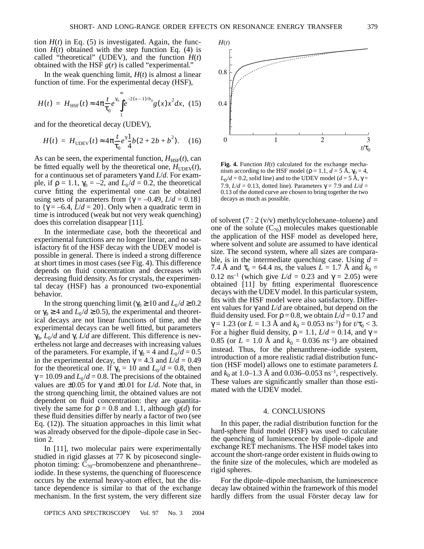tion  $H(t)$  in Eq. (5) is investigated. Again, the function  $H(t)$  obtained with the step function Eq. (4) is called "theoretical" (UDEV), and the function  $H(t)$ obtained with the HSF *g*(*r*) is called "experimental."

In the weak quenching limit,  $H(t)$  is almost a linear function of time. For the experimental decay (HSF),

$$
H(t) = H_{\text{HSF}}(t) \approx 4\pi \frac{t}{\tau_0} e^{\gamma_0} \int_{1}^{\infty} e^{-2(x-1)/b_0} g(x) x^2 dx, \tag{15}
$$

and for the theoretical decay (UDEV),

$$
H(t) = H_{\text{UDEV}}(t) \approx 4\pi \frac{t}{\tau_0} e^{\gamma} \frac{1}{4} b (2 + 2b + b^2). \quad (16)
$$

As can be seen, the experimental function,  $H_{HSE}(t)$ , can be fitted equally well by the theoretical one,  $H_{\text{UDEV}}(t)$ , for a continuous set of parameters γ and *L*/*d*. For example, if  $\rho = 1.1$ ,  $\gamma_0 = -2$ , and  $L_0 / d = 0.2$ , the theoretical curve fitting the experimental one can be obtained using sets of parameters from  $\{\gamma = -0.49, L/d = 0.18\}$ to  $\{\gamma = -6.4, L/d = 20\}$ . Only when a quadratic term in time is introduced (weak but not very weak quenching) does this correlation disappear [11].

In the intermediate case, both the theoretical and experimental functions are no longer linear, and no satisfactory fit of the HSF decay with the UDEV model is possible in general. There is indeed a strong difference at short times in most cases (see Fig. 4). This difference depends on fluid concentration and decreases with decreasing fluid density. As for crystals, the experimental decay (HSF) has a pronounced two-exponential behavior.

In the strong quenching limit ( $\gamma_0 \ge 10$  and  $L_0 / d \ge 0.2$ or  $\gamma_0 \ge 4$  and  $L_0 / d \ge 0.5$ ), the experimental and theoretical decays are not linear functions of time, and the experimental decays can be well fitted, but parameters  $\gamma_0$ ,  $L_0/d$  and  $\gamma$ ,  $L/d$  are different. This difference is nevertheless not large and decreases with increasing values of the parameters. For example, if  $\gamma_0 = 4$  and  $L_0 / d = 0.5$ in the experimental decay, then  $\gamma = 4.3$  and  $L/d = 0.49$ for the theoretical one. If  $\gamma_0 = 10$  and  $L_0 / d = 0.8$ , then  $\gamma = 10.09$  and  $L_0 / d = 0.8$ . The precisions of the obtained values are ±0.05 for γ and ±0.01 for *L*/*d*. Note that, in the strong quenching limit, the obtained values are not dependent on fluid concentration: they are quantitatively the same for  $\rho = 0.8$  and 1.1, although  $g(d)$  for these fluid densities differ by nearly a factor of two (see Eq. (12)). The situation approaches in this limit what was already observed for the dipole–dipole case in Section 2.

In [11], two molecular pairs were experimentally studied in rigid glasses at 77 K by picosecond singlephoton timing:  $C_{70}$ -bromobenzene and phenanthrene– iodide. In these systems, the quenching of fluorescence occurs by the external heavy-atom effect, but the distance dependence is similar to that of the exchange mechanism. In the first system, the very different size



**Fig. 4.** Function *H*(*t*) calculated for the exchange mechanism according to the HSF model ( $\rho = 1.1$ ,  $d = 5$  A,  $\gamma_0 = 4$ ,  $L_0/d = 0.2$ , solid line) and to the UDEV model ( $d = 5$  Å,  $\gamma =$ 7.9,  $L/d = 0.13$ , dotted line). Parameters  $\gamma = 7.9$  and  $L/d =$ 0.13 of the dotted curve are chosen to bring together the two decays as much as possible.

of solvent (7 : 2 (v/v) methylcyclohexane–toluene) and one of the solute  $(C_{70})$  molecules makes questionable the application of the HSF model as developed here, where solvent and solute are assumed to have identical size. The second system, where all sizes are comparable, is in the intermediate quenching case. Using  $d =$ 7.4 Å and  $\tau_0 = 64.4$  ns, the values  $L = 1.7$  Å and  $k_0 =$ 0.12 ns<sup>-1</sup> (which give *L*/*d* = 0.23 and γ = 2.05) were obtained [11] by fitting experimental fluorescence decays with the UDEV model. In this particular system, fits with the HSF model were also satisfactory. Different values for γ and *L*/*d* are obtained, but depend on the fluid density used. For  $\rho = 0.8$ , we obtain  $L/d = 0.17$  and  $\gamma = 1.23$  (or  $L = 1.3$  Å and  $k_0 = 0.053$  ns<sup>-1</sup>) for  $t/\tau_0 < 3$ . For a higher fluid density,  $\rho = 1.1$ ,  $L/d = 0.14$ , and  $\gamma =$ 0.85 (or  $L = 1.0$  Å and  $k_0 = 0.036$  ns<sup>-1</sup>) are obtained instead. Thus, for the phenanthrene–iodide system, introduction of a more realistic radial distribution function (HSF model) allows one to estimate parameters *L* and  $k_0$  at 1.0–1.3 Å and 0.036–0.053 ns<sup>-1</sup>, respectively. These values are significantly smaller than those estimated with the UDEV model.

#### 4. CONCLUSIONS

In this paper, the radial distribution function for the hard-sphere fluid model (HSF) was used to calculate the quenching of luminescence by dipole–dipole and exchange RET mechanisms. The HSF model takes into account the short-range order existent in fluids owing to the finite size of the molecules, which are modeled as rigid spheres.

For the dipole–dipole mechanism, the luminescence decay law obtained within the framework of this model hardly differs from the usual Förster decay law for